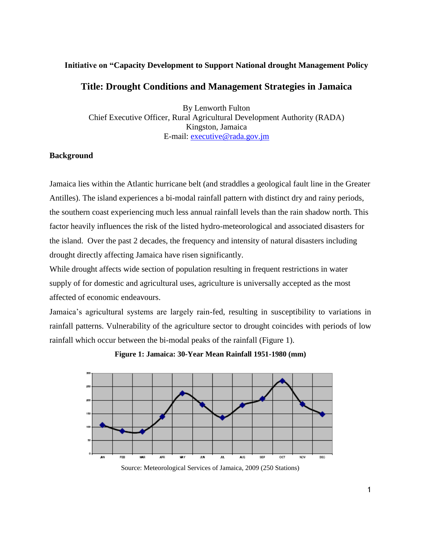## **Initiative on "Capacity Development to Support National drought Management Policy**

## **Title: Drought Conditions and Management Strategies in Jamaica**

By Lenworth Fulton Chief Executive Officer, Rural Agricultural Development Authority (RADA) Kingston, Jamaica E-mail: [executive@rada.gov.jm](mailto:executive@rada.gov.jm)

## **Background**

Jamaica lies within the Atlantic hurricane belt (and straddles a geological fault line in the Greater Antilles). The island experiences a bi-modal rainfall pattern with distinct dry and rainy periods, the southern coast experiencing much less annual rainfall levels than the rain shadow north. This factor heavily influences the risk of the listed hydro-meteorological and associated disasters for the island. Over the past 2 decades, the frequency and intensity of natural disasters including drought directly affecting Jamaica have risen significantly.

While drought affects wide section of population resulting in frequent restrictions in water supply of for domestic and agricultural uses, agriculture is universally accepted as the most affected of economic endeavours.

Jamaica's agricultural systems are largely rain-fed, resulting in susceptibility to variations in rainfall patterns. Vulnerability of the agriculture sector to drought coincides with periods of low rainfall which occur between the bi-modal peaks of the rainfall (Figure 1).

**Figure 1: Jamaica: 30-Year Mean Rainfall 1951-1980 (mm)**



Source: Meteorological Services of Jamaica, 2009 (250 Stations)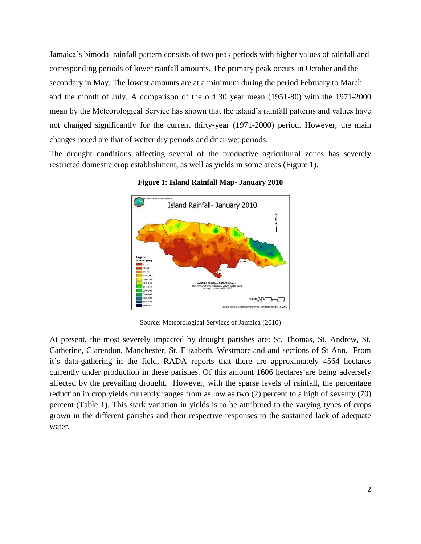Jamaica's bimodal rainfall pattern consists of two peak periods with higher values of rainfall and corresponding periods of lower rainfall amounts. The primary peak occurs in October and the secondary in May. The lowest amounts are at a minimum during the period February to March and the month of July. A comparison of the old 30 year mean (1951-80) with the 1971-2000 mean by the Meteorological Service has shown that the island's rainfall patterns and values have not changed significantly for the current thirty-year (1971-2000) period. However, the main changes noted are that of wetter dry periods and drier wet periods.

The drought conditions affecting several of the productive agricultural zones has severely restricted domestic crop establishment, as well as yields in some areas (Figure 1).



**Figure 1: Island Rainfall Map- January 2010**

Source: Meteorological Services of Jamaica (2010)

At present, the most severely impacted by drought parishes are: St. Thomas, St. Andrew, St. Catherine, Clarendon, Manchester, St. Elizabeth, Westmoreland and sections of St Ann. From it's data-gathering in the field, RADA reports that there are approximately 4564 hectares currently under production in these parishes. Of this amount 1606 hectares are being adversely affected by the prevailing drought. However, with the sparse levels of rainfall, the percentage reduction in crop yields currently ranges from as low as two (2) percent to a high of seventy (70) percent (Table 1). This stark variation in yields is to be attributed to the varying types of crops grown in the different parishes and their respective responses to the sustained lack of adequate water.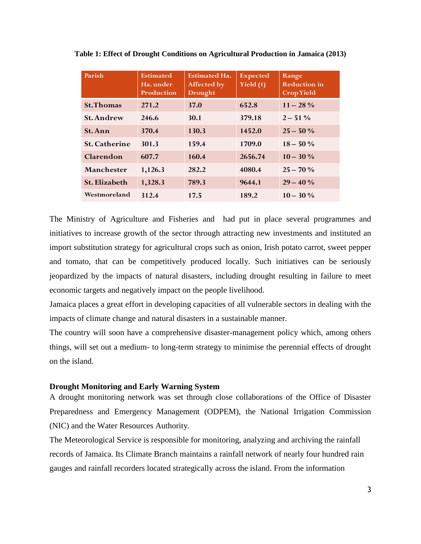| Parish               | <b>Estimated</b><br>Ha. under<br><b>Production</b> | <b>Estimated Ha.</b><br>Affected by<br><b>Drought</b> | <b>Expected</b><br>Yield (t) | Range<br><b>Reduction</b> in<br><b>Crop Yield</b> |
|----------------------|----------------------------------------------------|-------------------------------------------------------|------------------------------|---------------------------------------------------|
| <b>St. Thomas</b>    | 271.2                                              | 37.0                                                  | 652.8                        | $11 - 28\%$                                       |
| <b>St. Andrew</b>    | 246.6                                              | 30.1                                                  | 379.18                       | $2 - 51\%$                                        |
| <b>St. Ann</b>       | 370.4                                              | 130.3                                                 | 1452.0                       | $25 - 50\%$                                       |
| <b>St. Catherine</b> | 301.3                                              | 159.4                                                 | 1709.0                       | $18 - 50\%$                                       |
| Clarendon            | 607.7                                              | 160.4                                                 | 2656.74                      | $10 - 30\%$                                       |
| Manchester           | 1,126.3                                            | 282.2                                                 | 4080.4                       | $25 - 70%$                                        |
| <b>St. Elizabeth</b> | 1,328.3                                            | 789.3                                                 | 9644.1                       | $29 - 40%$                                        |
| Westmoreland         | 312.4                                              | 17.5                                                  | 189.2                        | $10 - 30\%$                                       |

**Table 1: Effect of Drought Conditions on Agricultural Production in Jamaica (2013)**

The Ministry of Agriculture and Fisheries and had put in place several programmes and initiatives to increase growth of the sector through attracting new investments and instituted an import substitution strategy for agricultural crops such as onion, Irish potato carrot, sweet pepper and tomato, that can be competitively produced locally. Such initiatives can be seriously jeopardized by the impacts of natural disasters, including drought resulting in failure to meet economic targets and negatively impact on the people livelihood.

Jamaica places a great effort in developing capacities of all vulnerable sectors in dealing with the impacts of climate change and natural disasters in a sustainable manner.

The country will soon have a comprehensive disaster-management policy which, among others things, will set out a medium- to long-term strategy to minimise the perennial effects of drought on the island.

#### **Drought Monitoring and Early Warning System**

A drought monitoring network was set through close collaborations of the Office of Disaster Preparedness and Emergency Management (ODPEM), the National Irrigation Commission (NIC) and the Water Resources Authority.

The Meteorological Service is responsible for monitoring, analyzing and archiving the rainfall records of Jamaica. Its Climate Branch maintains a rainfall network of nearly four hundred rain gauges and rainfall recorders located strategically across the island. From the information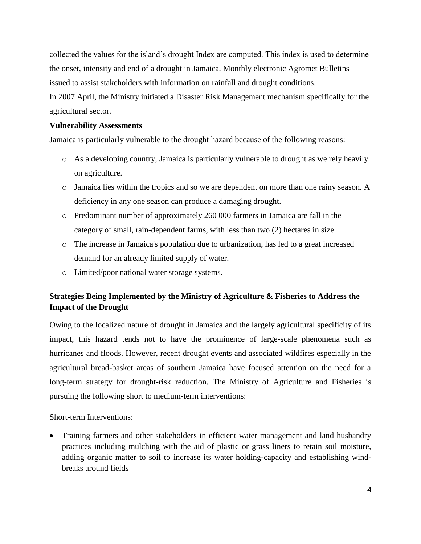collected the values for the island's drought Index are computed. This index is used to determine the onset, intensity and end of a drought in Jamaica. Monthly electronic Agromet Bulletins issued to assist stakeholders with information on rainfall and drought conditions. In 2007 April, the Ministry initiated a Disaster Risk Management mechanism specifically for the agricultural sector.

## **Vulnerability Assessments**

Jamaica is particularly vulnerable to the drought hazard because of the following reasons:

- o As a developing country, Jamaica is particularly vulnerable to drought as we rely heavily on agriculture.
- o Jamaica lies within the tropics and so we are dependent on more than one rainy season. A deficiency in any one season can produce a damaging drought.
- o Predominant number of approximately 260 000 farmers in Jamaica are fall in the category of small, rain-dependent farms, with less than two (2) hectares in size.
- o The increase in Jamaica's population due to urbanization, has led to a great increased demand for an already limited supply of water.
- o Limited/poor national water storage systems.

# **Strategies Being Implemented by the Ministry of Agriculture & Fisheries to Address the Impact of the Drought**

Owing to the localized nature of drought in Jamaica and the largely agricultural specificity of its impact, this hazard tends not to have the prominence of large-scale phenomena such as hurricanes and floods. However, recent drought events and associated wildfires especially in the agricultural bread-basket areas of southern Jamaica have focused attention on the need for a long-term strategy for drought-risk reduction. The Ministry of Agriculture and Fisheries is pursuing the following short to medium-term interventions:

## Short-term Interventions:

• Training farmers and other stakeholders in efficient water management and land husbandry practices including mulching with the aid of plastic or grass liners to retain soil moisture, adding organic matter to soil to increase its water holding-capacity and establishing windbreaks around fields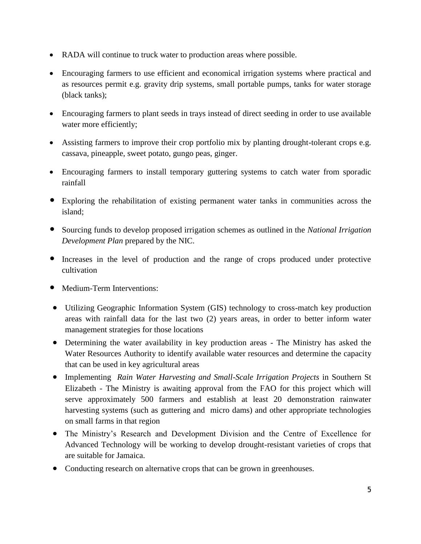- RADA will continue to truck water to production areas where possible.
- Encouraging farmers to use efficient and economical irrigation systems where practical and as resources permit e.g. gravity drip systems, small portable pumps, tanks for water storage (black tanks);
- Encouraging farmers to plant seeds in trays instead of direct seeding in order to use available water more efficiently;
- Assisting farmers to improve their crop portfolio mix by planting drought-tolerant crops e.g. cassava, pineapple, sweet potato, gungo peas, ginger.
- Encouraging farmers to install temporary guttering systems to catch water from sporadic rainfall
- Exploring the rehabilitation of existing permanent water tanks in communities across the island;
- Sourcing funds to develop proposed irrigation schemes as outlined in the *National Irrigation Development Plan* prepared by the NIC.
- Increases in the level of production and the range of crops produced under protective cultivation
- Medium-Term Interventions:
- Utilizing Geographic Information System (GIS) technology to cross-match key production areas with rainfall data for the last two (2) years areas, in order to better inform water management strategies for those locations
- Determining the water availability in key production areas The Ministry has asked the Water Resources Authority to identify available water resources and determine the capacity that can be used in key agricultural areas
- Implementing *Rain Water Harvesting and Small-Scale Irrigation Projects* in Southern St Elizabeth *-* The Ministry is awaiting approval from the FAO for this project which will serve approximately 500 farmers and establish at least 20 demonstration rainwater harvesting systems (such as guttering and micro dams) and other appropriate technologies on small farms in that region
- The Ministry's Research and Development Division and the Centre of Excellence for Advanced Technology will be working to develop drought-resistant varieties of crops that are suitable for Jamaica.
- Conducting research on alternative crops that can be grown in greenhouses.